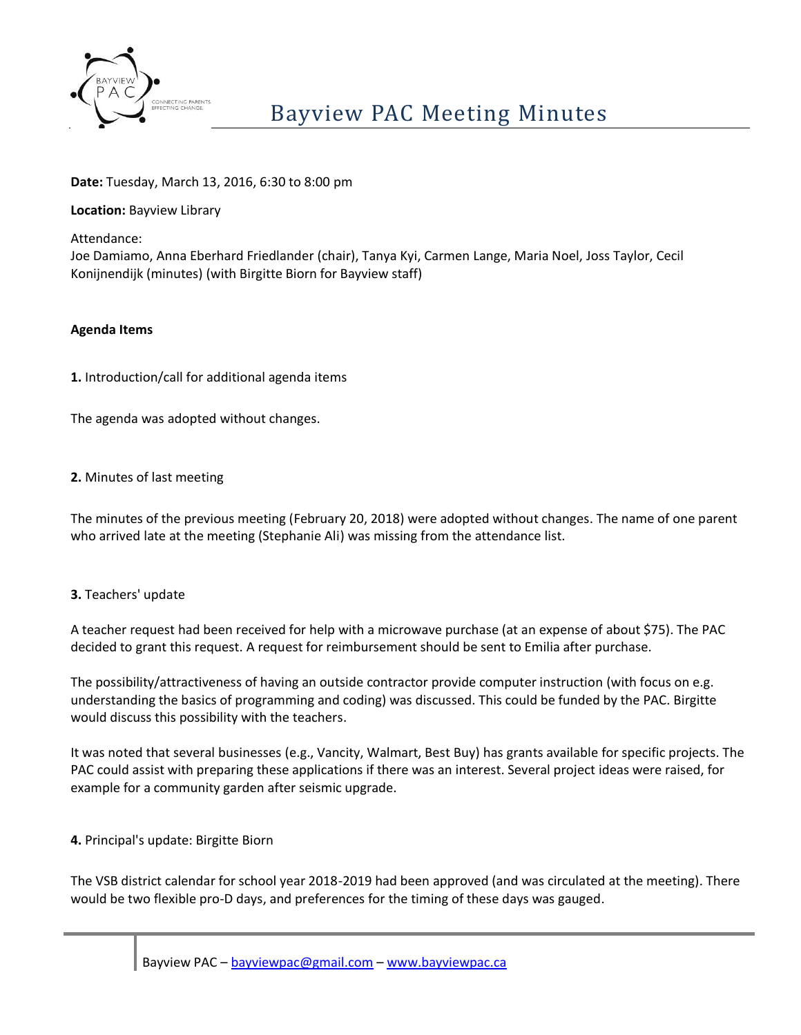

## **Date:** Tuesday, March 13, 2016, 6:30 to 8:00 pm

### **Location:** Bayview Library

Attendance:

Joe Damiamo, Anna Eberhard Friedlander (chair), Tanya Kyi, Carmen Lange, Maria Noel, Joss Taylor, Cecil Konijnendijk (minutes) (with Birgitte Biorn for Bayview staff)

#### **Agenda Items**

**1.** Introduction/call for additional agenda items

The agenda was adopted without changes.

#### **2.** Minutes of last meeting

The minutes of the previous meeting (February 20, 2018) were adopted without changes. The name of one parent who arrived late at the meeting (Stephanie Ali) was missing from the attendance list.

### **3.** Teachers' update

A teacher request had been received for help with a microwave purchase (at an expense of about \$75). The PAC decided to grant this request. A request for reimbursement should be sent to Emilia after purchase.

The possibility/attractiveness of having an outside contractor provide computer instruction (with focus on e.g. understanding the basics of programming and coding) was discussed. This could be funded by the PAC. Birgitte would discuss this possibility with the teachers.

It was noted that several businesses (e.g., Vancity, Walmart, Best Buy) has grants available for specific projects. The PAC could assist with preparing these applications if there was an interest. Several project ideas were raised, for example for a community garden after seismic upgrade.

### **4.** Principal's update: Birgitte Biorn

The VSB district calendar for school year 2018-2019 had been approved (and was circulated at the meeting). There would be two flexible pro-D days, and preferences for the timing of these days was gauged.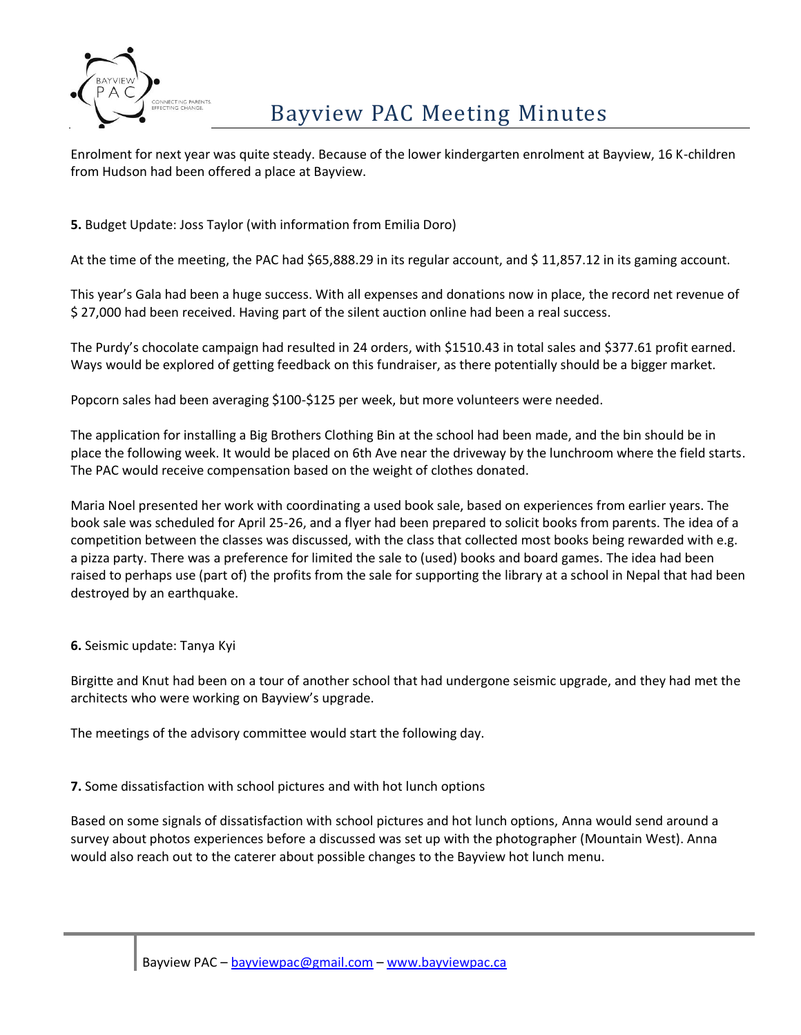

# Bayview PAC Meeting Minutes

Enrolment for next year was quite steady. Because of the lower kindergarten enrolment at Bayview, 16 K-children from Hudson had been offered a place at Bayview.

**5.** Budget Update: Joss Taylor (with information from Emilia Doro)

At the time of the meeting, the PAC had \$65,888.29 in its regular account, and \$ 11,857.12 in its gaming account.

This year's Gala had been a huge success. With all expenses and donations now in place, the record net revenue of \$ 27,000 had been received. Having part of the silent auction online had been a real success.

The Purdy's chocolate campaign had resulted in 24 orders, with \$1510.43 in total sales and \$377.61 profit earned. Ways would be explored of getting feedback on this fundraiser, as there potentially should be a bigger market.

Popcorn sales had been averaging \$100-\$125 per week, but more volunteers were needed.

The application for installing a Big Brothers Clothing Bin at the school had been made, and the bin should be in place the following week. It would be placed on 6th Ave near the driveway by the lunchroom where the field starts. The PAC would receive compensation based on the weight of clothes donated.

Maria Noel presented her work with coordinating a used book sale, based on experiences from earlier years. The book sale was scheduled for April 25-26, and a flyer had been prepared to solicit books from parents. The idea of a competition between the classes was discussed, with the class that collected most books being rewarded with e.g. a pizza party. There was a preference for limited the sale to (used) books and board games. The idea had been raised to perhaps use (part of) the profits from the sale for supporting the library at a school in Nepal that had been destroyed by an earthquake.

**6.** Seismic update: Tanya Kyi

Birgitte and Knut had been on a tour of another school that had undergone seismic upgrade, and they had met the architects who were working on Bayview's upgrade.

The meetings of the advisory committee would start the following day.

**7.** Some dissatisfaction with school pictures and with hot lunch options

Based on some signals of dissatisfaction with school pictures and hot lunch options, Anna would send around a survey about photos experiences before a discussed was set up with the photographer (Mountain West). Anna would also reach out to the caterer about possible changes to the Bayview hot lunch menu.